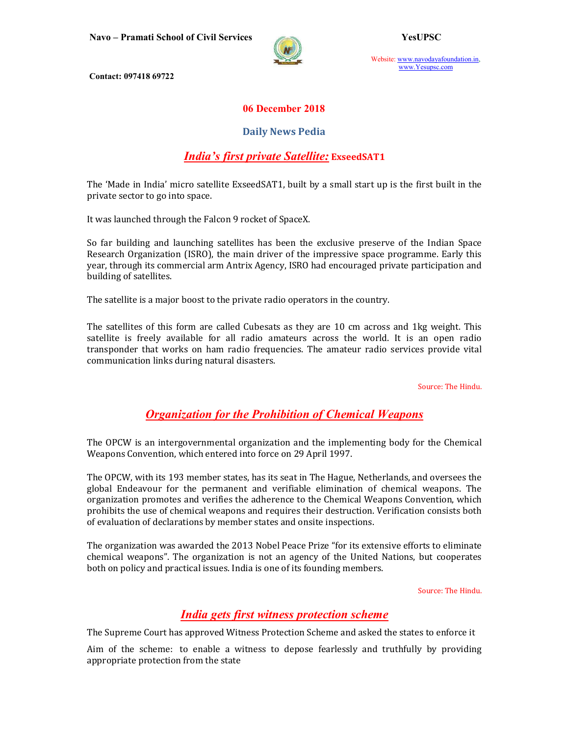

Website: www.navodayafoundation.in, www.Yesupsc.com

Contact: 097418 69722

#### 06 December 2018

#### Daily News Pedia

## India's first private Satellite: ExseedSAT1

The 'Made in India' micro satellite ExseedSAT1, built by a small start up is the first built in the private sector to go into space.

It was launched through the Falcon 9 rocket of SpaceX.

So far building and launching satellites has been the exclusive preserve of the Indian Space Research Organization (ISRO), the main driver of the impressive space programme. Early this year, through its commercial arm Antrix Agency, ISRO had encouraged private participation and building of satellites.

The satellite is a major boost to the private radio operators in the country.

The satellites of this form are called Cubesats as they are 10 cm across and 1kg weight. This satellite is freely available for all radio amateurs across the world. It is an open radio transponder that works on ham radio frequencies. The amateur radio services provide vital communication links during natural disasters.

Source: The Hindu.

# Organization for the Prohibition of Chemical Weapons

The OPCW is an intergovernmental organization and the implementing body for the Chemical Weapons Convention, which entered into force on 29 April 1997.

The OPCW, with its 193 member states, has its seat in The Hague, Netherlands, and oversees the global Endeavour for the permanent and verifiable elimination of chemical weapons. The organization promotes and verifies the adherence to the Chemical Weapons Convention, which prohibits the use of chemical weapons and requires their destruction. Verification consists both of evaluation of declarations by member states and onsite inspections.

The organization was awarded the 2013 Nobel Peace Prize "for its extensive efforts to eliminate chemical weapons". The organization is not an agency of the United Nations, but cooperates both on policy and practical issues. India is one of its founding members.

Source: The Hindu.

# India gets first witness protection scheme

The Supreme Court has approved Witness Protection Scheme and asked the states to enforce it

Aim of the scheme: to enable a witness to depose fearlessly and truthfully by providing appropriate protection from the state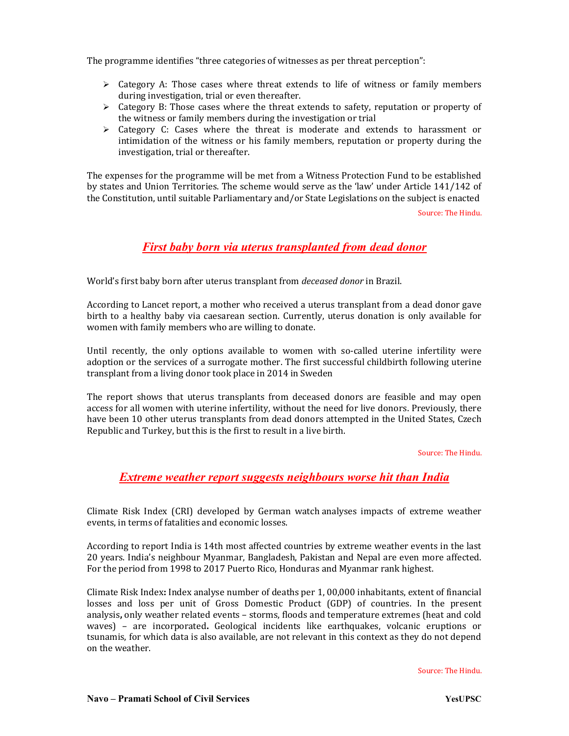The programme identifies "three categories of witnesses as per threat perception":

- $\triangleright$  Category A: Those cases where threat extends to life of witness or family members during investigation, trial or even thereafter.
- $\triangleright$  Category B: Those cases where the threat extends to safety, reputation or property of the witness or family members during the investigation or trial
- $\triangleright$  Category C: Cases where the threat is moderate and extends to harassment or intimidation of the witness or his family members, reputation or property during the investigation, trial or thereafter.

The expenses for the programme will be met from a Witness Protection Fund to be established by states and Union Territories. The scheme would serve as the 'law' under Article 141/142 of the Constitution, until suitable Parliamentary and/or State Legislations on the subject is enacted

Source: The Hindu.

## First baby born via uterus transplanted from dead donor

World's first baby born after uterus transplant from deceased donor in Brazil.

According to Lancet report, a mother who received a uterus transplant from a dead donor gave birth to a healthy baby via caesarean section. Currently, uterus donation is only available for women with family members who are willing to donate.

Until recently, the only options available to women with so-called uterine infertility were adoption or the services of a surrogate mother. The first successful childbirth following uterine transplant from a living donor took place in 2014 in Sweden

The report shows that uterus transplants from deceased donors are feasible and may open access for all women with uterine infertility, without the need for live donors. Previously, there have been 10 other uterus transplants from dead donors attempted in the United States, Czech Republic and Turkey, but this is the first to result in a live birth.

Source: The Hindu.

#### Extreme weather report suggests neighbours worse hit than India

Climate Risk Index (CRI) developed by German watch analyses impacts of extreme weather events, in terms of fatalities and economic losses.

According to report India is 14th most affected countries by extreme weather events in the last 20 years. India's neighbour Myanmar, Bangladesh, Pakistan and Nepal are even more affected. For the period from 1998 to 2017 Puerto Rico, Honduras and Myanmar rank highest.

Climate Risk Index: Index analyse number of deaths per 1, 00,000 inhabitants, extent of financial losses and loss per unit of Gross Domestic Product (GDP) of countries. In the present analysis, only weather related events – storms, floods and temperature extremes (heat and cold waves) – are incorporated. Geological incidents like earthquakes, volcanic eruptions or tsunamis, for which data is also available, are not relevant in this context as they do not depend on the weather.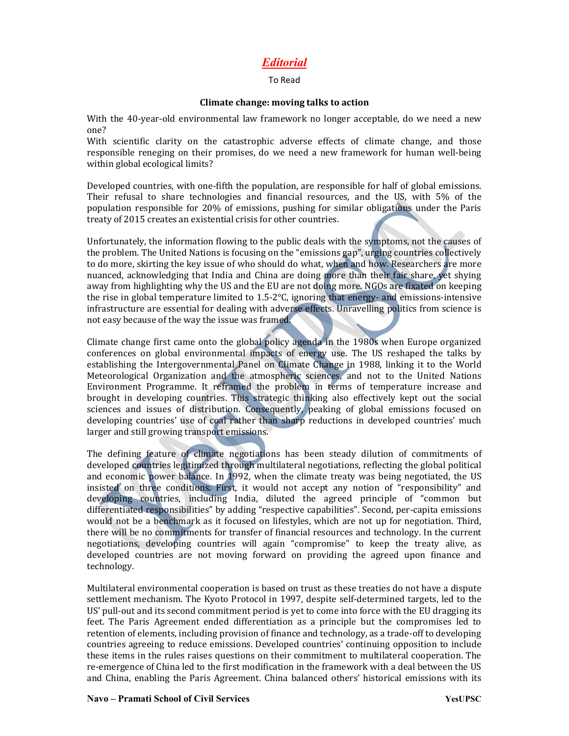# Editorial

#### To Read

#### Climate change: moving talks to action

With the 40-year-old environmental law framework no longer acceptable, do we need a new one?

With scientific clarity on the catastrophic adverse effects of climate change, and those responsible reneging on their promises, do we need a new framework for human well-being within global ecological limits?

Developed countries, with one-fifth the population, are responsible for half of global emissions. Their refusal to share technologies and financial resources, and the US, with 5% of the population responsible for 20% of emissions, pushing for similar obligations under the Paris treaty of 2015 creates an existential crisis for other countries.

Unfortunately, the information flowing to the public deals with the symptoms, not the causes of the problem. The United Nations is focusing on the "emissions gap", urging countries collectively to do more, skirting the key issue of who should do what, when and how. Researchers are more nuanced, acknowledging that India and China are doing more than their fair share, yet shying away from highlighting why the US and the EU are not doing more. NGOs are fixated on keeping the rise in global temperature limited to 1.5-2°C, ignoring that energy- and emissions-intensive infrastructure are essential for dealing with adverse effects. Unravelling politics from science is not easy because of the way the issue was framed.

Climate change first came onto the global policy agenda in the 1980s when Europe organized conferences on global environmental impacts of energy use. The US reshaped the talks by establishing the Intergovernmental Panel on Climate Change in 1988, linking it to the World Meteorological Organization and the atmospheric sciences, and not to the United Nations Environment Programme. It reframed the problem in terms of temperature increase and brought in developing countries. This strategic thinking also effectively kept out the social sciences and issues of distribution. Consequently, peaking of global emissions focused on developing countries' use of coal rather than sharp reductions in developed countries' much larger and still growing transport emissions.

The defining feature of climate negotiations has been steady dilution of commitments of developed countries legitimized through multilateral negotiations, reflecting the global political and economic power balance. In 1992, when the climate treaty was being negotiated, the US insisted on three conditions. First, it would not accept any notion of "responsibility" and developing countries, including India, diluted the agreed principle of "common but differentiated responsibilities" by adding "respective capabilities". Second, per-capita emissions would not be a benchmark as it focused on lifestyles, which are not up for negotiation. Third, there will be no commitments for transfer of financial resources and technology. In the current negotiations, developing countries will again "compromise" to keep the treaty alive, as developed countries are not moving forward on providing the agreed upon finance and technology.

Multilateral environmental cooperation is based on trust as these treaties do not have a dispute settlement mechanism. The Kyoto Protocol in 1997, despite self-determined targets, led to the US' pull-out and its second commitment period is yet to come into force with the EU dragging its feet. The Paris Agreement ended differentiation as a principle but the compromises led to retention of elements, including provision of finance and technology, as a trade-off to developing countries agreeing to reduce emissions. Developed countries' continuing opposition to include these items in the rules raises questions on their commitment to multilateral cooperation. The re-emergence of China led to the first modification in the framework with a deal between the US and China, enabling the Paris Agreement. China balanced others' historical emissions with its